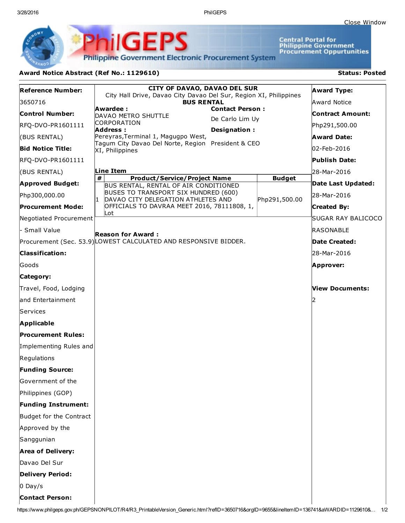3/28/2016 PhilGEPS

Central Portal for<br>Philippine Government<br>Procurement Oppurtunities

**Philippine Government Electronic Procurement System** 

PhilGEPS

## Award Notice Abstract (Ref No.: 1129610) Status: Posted

|                            | <b>CITY OF DAVAO, DAVAO DEL SUR</b>                                                                |                         |
|----------------------------|----------------------------------------------------------------------------------------------------|-------------------------|
| <b>Reference Number:</b>   | City Hall Drive, Davao City Davao Del Sur, Region XI, Philippines                                  | <b>Award Type:</b>      |
| 3650716                    | <b>BUS RENTAL</b><br><b>Contact Person:</b><br>Awardee :                                           | <b>Award Notice</b>     |
| <b>Control Number:</b>     | DAVAO METRO SHUTTLE<br>De Carlo Lim Uy<br>CORPORATION                                              | <b>Contract Amount:</b> |
| RFQ-DVO-PR1601111          | <b>Address:</b><br>Designation:                                                                    | Php291,500.00           |
| (BUS RENTAL)               | Pereyras, Terminal 1, Magugpo West,<br>Tagum City Davao Del Norte, Region President & CEO          | <b>Award Date:</b>      |
| <b>Bid Notice Title:</b>   | XI, Philippines                                                                                    | 02-Feb-2016             |
| RFQ-DVO-PR1601111          |                                                                                                    | <b>Publish Date:</b>    |
| (BUS RENTAL)               | Line Item                                                                                          | 28-Mar-2016             |
| <b>Approved Budget:</b>    | #<br><b>Product/Service/Project Name</b><br><b>Budget</b><br>BUS RENTAL, RENTAL OF AIR CONDITIONED | Date Last Updated:      |
| Php300,000.00              | <b>BUSES TO TRANSPORT SIX HUNDRED (600)</b><br>DAVAO CITY DELEGATION ATHLETES AND<br>Php291,500.00 | 28-Mar-2016             |
| <b>Procurement Mode:</b>   | OFFICIALS TO DAVRAA MEET 2016, 78111808, 1,                                                        | Created By:             |
| Negotiated Procurement     | Lot                                                                                                | SUGAR RAY BALICOCO      |
| - Small Value              | <b>Reason for Award :</b>                                                                          | RASONABLE               |
|                            | Procurement (Sec. 53.9) LOWEST CALCULATED AND RESPONSIVE BIDDER.                                   | Date Created:           |
| <b>Classification:</b>     |                                                                                                    | 28-Mar-2016             |
| Goods                      |                                                                                                    | Approver:               |
| Category:                  |                                                                                                    |                         |
| Travel, Food, Lodging      |                                                                                                    | <b>View Documents:</b>  |
| land Entertainment         |                                                                                                    |                         |
| Services                   |                                                                                                    |                         |
| <b>Applicable</b>          |                                                                                                    |                         |
| <b>Procurement Rules:</b>  |                                                                                                    |                         |
| Implementing Rules and     |                                                                                                    |                         |
| Regulations                |                                                                                                    |                         |
| <b>Funding Source:</b>     |                                                                                                    |                         |
| Government of the          |                                                                                                    |                         |
| Philippines (GOP)          |                                                                                                    |                         |
| <b>Funding Instrument:</b> |                                                                                                    |                         |
| Budget for the Contract    |                                                                                                    |                         |
| Approved by the            |                                                                                                    |                         |
| Sanggunian                 |                                                                                                    |                         |
| <b>Area of Delivery:</b>   |                                                                                                    |                         |
| Davao Del Sur              |                                                                                                    |                         |
| Delivery Period:           |                                                                                                    |                         |
| $0$ Day/s                  |                                                                                                    |                         |
| <b>Contact Person:</b>     |                                                                                                    |                         |